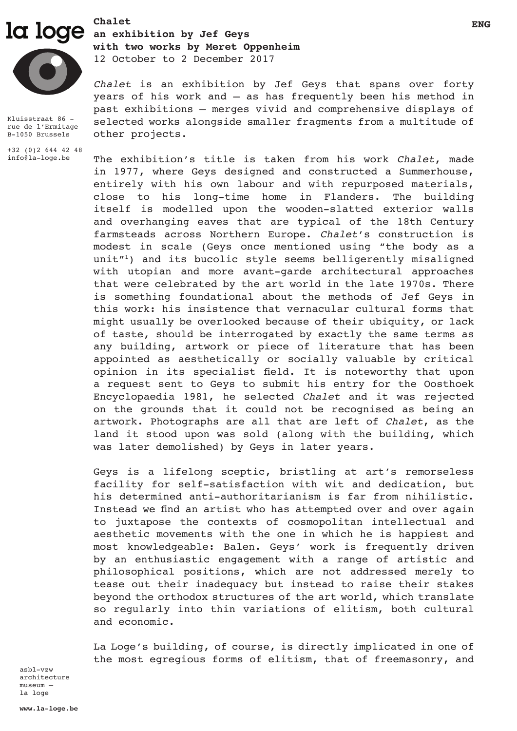

Kluisstraat 86 rue de l'Ermitage B-1050 Brussels

+32 (0)2 644 42 48 info@la-loge.be

**ENG** LOGE an exhibition by Jef Geys **with two works by Meret Oppenheim** 12 October to 2 December 2017

> *Chalet* is an exhibition by Jef Geys that spans over forty years of his work and – as has frequently been his method in past exhibitions – merges vivid and comprehensive displays of selected works alongside smaller fragments from a multitude of other projects.

> The exhibition's title is taken from his work *Chalet*, made in 1977, where Geys designed and constructed a Summerhouse, entirely with his own labour and with repurposed materials, close to his long-time home in Flanders. The building itself is modelled upon the wooden-slatted exterior walls and overhanging eaves that are typical of the 18th Century farmsteads across Northern Europe. *Chalet*'s construction is modest in scale (Geys once mentioned using "the body as a unit $T^{1}$ ) and its bucolic style seems belligerently misaligned with utopian and more avant-garde architectural approaches that were celebrated by the art world in the late 1970s. There is something foundational about the methods of Jef Geys in this work: his insistence that vernacular cultural forms that might usually be overlooked because of their ubiquity, or lack of taste, should be interrogated by exactly the same terms as any building, artwork or piece of literature that has been appointed as aesthetically or socially valuable by critical opinion in its specialist field. It is noteworthy that upon a request sent to Geys to submit his entry for the Oosthoek Encyclopaedia 1981, he selected *Chalet* and it was rejected on the grounds that it could not be recognised as being an artwork. Photographs are all that are left of *Chalet*, as the land it stood upon was sold (along with the building, which was later demolished) by Geys in later years.

> Geys is a lifelong sceptic, bristling at art's remorseless facility for self-satisfaction with wit and dedication, but his determined anti-authoritarianism is far from nihilistic. Instead we find an artist who has attempted over and over again to juxtapose the contexts of cosmopolitan intellectual and aesthetic movements with the one in which he is happiest and most knowledgeable: Balen. Geys' work is frequently driven by an enthusiastic engagement with a range of artistic and philosophical positions, which are not addressed merely to tease out their inadequacy but instead to raise their stakes beyond the orthodox structures of the art world, which translate so regularly into thin variations of elitism, both cultural and economic.

> La Loge's building, of course, is directly implicated in one of the most egregious forms of elitism, that of freemasonry, and

asbl-vzw architecture museum – la loge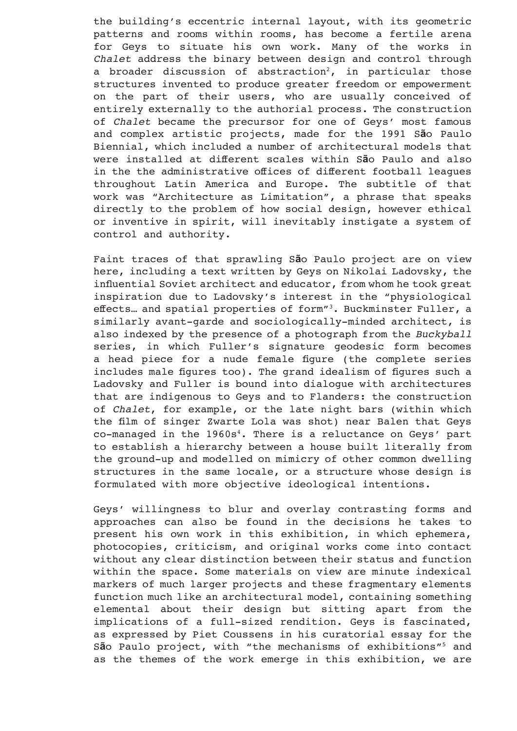the building's eccentric internal layout, with its geometric patterns and rooms within rooms, has become a fertile arena for Geys to situate his own work. Many of the works in *Chalet* address the binary between design and control through a broader discussion of abstraction<sup>2</sup>, in particular those structures invented to produce greater freedom or empowerment on the part of their users, who are usually conceived of entirely externally to the authorial process. The construction of *Chalet* became the precursor for one of Geys' most famous and complex artistic projects, made for the 1991 S**ã**o Paulo Biennial, which included a number of architectural models that were installed at different scales within S**ã**o Paulo and also in the the administrative offices of different football leagues throughout Latin America and Europe. The subtitle of that work was "Architecture as Limitation", a phrase that speaks directly to the problem of how social design, however ethical or inventive in spirit, will inevitably instigate a system of control and authority.

Faint traces of that sprawling S**ã**o Paulo project are on view here, including a text written by Geys on Nikolai Ladovsky, the influential Soviet architect and educator, from whom he took great inspiration due to Ladovsky's interest in the "physiological effects… and spatial properties of form"3. Buckminster Fuller, a similarly avant-garde and sociologically-minded architect, is also indexed by the presence of a photograph from the *Buckyball* series, in which Fuller's signature geodesic form becomes a head piece for a nude female figure (the complete series includes male figures too). The grand idealism of figures such a Ladovsky and Fuller is bound into dialogue with architectures that are indigenous to Geys and to Flanders: the construction of *Chalet*, for example, or the late night bars (within which the film of singer Zwarte Lola was shot) near Balen that Geys  $co$ -managed in the 1960s<sup>4</sup>. There is a reluctance on Geys' part to establish a hierarchy between a house built literally from the ground-up and modelled on mimicry of other common dwelling structures in the same locale, or a structure whose design is formulated with more objective ideological intentions.

Geys' willingness to blur and overlay contrasting forms and approaches can also be found in the decisions he takes to present his own work in this exhibition, in which ephemera, photocopies, criticism, and original works come into contact without any clear distinction between their status and function within the space. Some materials on view are minute indexical markers of much larger projects and these fragmentary elements function much like an architectural model, containing something elemental about their design but sitting apart from the implications of a full-sized rendition. Geys is fascinated, as expressed by Piet Coussens in his curatorial essay for the S**ã**o Paulo project, with "the mechanisms of exhibitions"5 and as the themes of the work emerge in this exhibition, we are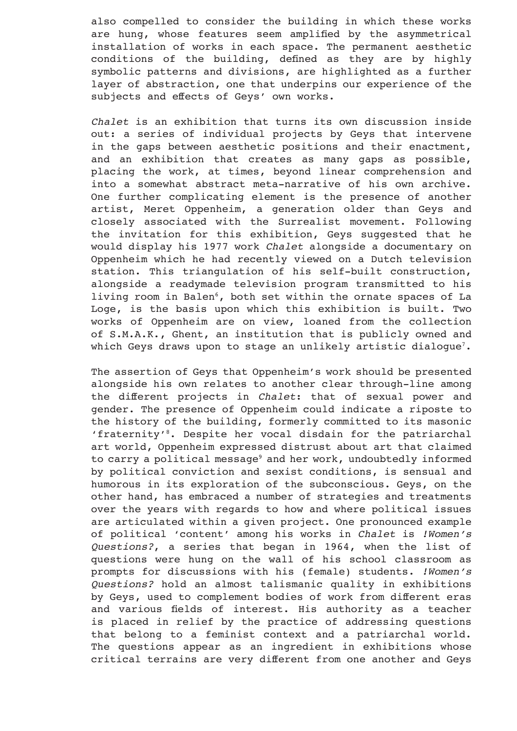also compelled to consider the building in which these works are hung, whose features seem amplified by the asymmetrical installation of works in each space. The permanent aesthetic conditions of the building, defined as they are by highly symbolic patterns and divisions, are highlighted as a further layer of abstraction, one that underpins our experience of the subjects and effects of Geys' own works.

*Chalet* is an exhibition that turns its own discussion inside out: a series of individual projects by Geys that intervene in the gaps between aesthetic positions and their enactment, and an exhibition that creates as many gaps as possible, placing the work, at times, beyond linear comprehension and into a somewhat abstract meta-narrative of his own archive. One further complicating element is the presence of another artist, Meret Oppenheim, a generation older than Geys and closely associated with the Surrealist movement. Following the invitation for this exhibition, Geys suggested that he would display his 1977 work *Chalet* alongside a documentary on Oppenheim which he had recently viewed on a Dutch television station. This triangulation of his self-built construction, alongside a readymade television program transmitted to his living room in Balen<sup>6</sup>, both set within the ornate spaces of La Loge, is the basis upon which this exhibition is built. Two works of Oppenheim are on view, loaned from the collection of S.M.A.K., Ghent, an institution that is publicly owned and which Geys draws upon to stage an unlikely artistic dialogue<sup>7</sup>.

The assertion of Geys that Oppenheim's work should be presented alongside his own relates to another clear through-line among the different projects in *Chalet*: that of sexual power and gender. The presence of Oppenheim could indicate a riposte to the history of the building, formerly committed to its masonic 'fraternity'8. Despite her vocal disdain for the patriarchal art world, Oppenheim expressed distrust about art that claimed to carry a political message<sup>9</sup> and her work, undoubtedly informed by political conviction and sexist conditions, is sensual and humorous in its exploration of the subconscious. Geys, on the other hand, has embraced a number of strategies and treatments over the years with regards to how and where political issues are articulated within a given project. One pronounced example of political 'content' among his works in *Chalet* is *!Women's Questions?*, a series that began in 1964, when the list of questions were hung on the wall of his school classroom as prompts for discussions with his (female) students. *!Women's Questions?* hold an almost talismanic quality in exhibitions by Geys, used to complement bodies of work from different eras and various fields of interest. His authority as a teacher is placed in relief by the practice of addressing questions that belong to a feminist context and a patriarchal world. The questions appear as an ingredient in exhibitions whose critical terrains are very different from one another and Geys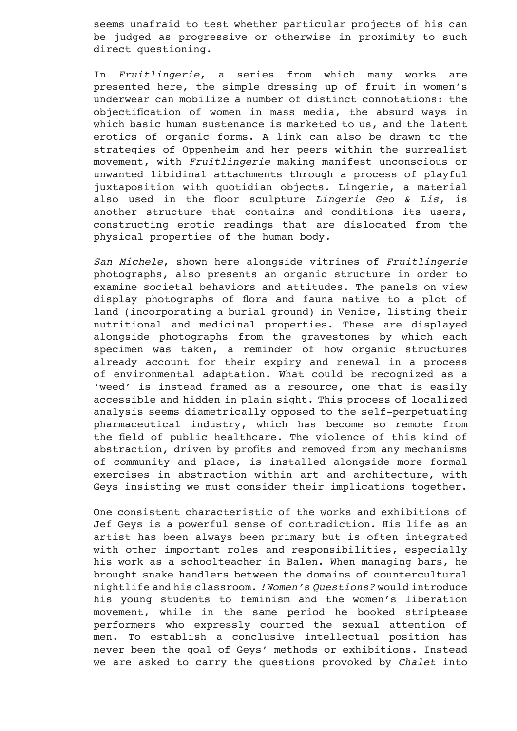seems unafraid to test whether particular projects of his can be judged as progressive or otherwise in proximity to such direct questioning.

In *Fruitlingerie*, a series from which many works are presented here, the simple dressing up of fruit in women's underwear can mobilize a number of distinct connotations: the objectification of women in mass media, the absurd ways in which basic human sustenance is marketed to us, and the latent erotics of organic forms. A link can also be drawn to the strategies of Oppenheim and her peers within the surrealist movement, with *Fruitlingerie* making manifest unconscious or unwanted libidinal attachments through a process of playful juxtaposition with quotidian objects. Lingerie, a material also used in the floor sculpture *Lingerie Geo & Lis*, is another structure that contains and conditions its users, constructing erotic readings that are dislocated from the physical properties of the human body.

*San Michele*, shown here alongside vitrines of *Fruitlingerie* photographs, also presents an organic structure in order to examine societal behaviors and attitudes. The panels on view display photographs of flora and fauna native to a plot of land (incorporating a burial ground) in Venice, listing their nutritional and medicinal properties. These are displayed alongside photographs from the gravestones by which each specimen was taken, a reminder of how organic structures already account for their expiry and renewal in a process of environmental adaptation. What could be recognized as a 'weed' is instead framed as a resource, one that is easily accessible and hidden in plain sight. This process of localized analysis seems diametrically opposed to the self-perpetuating pharmaceutical industry, which has become so remote from the field of public healthcare. The violence of this kind of abstraction, driven by profits and removed from any mechanisms of community and place, is installed alongside more formal exercises in abstraction within art and architecture, with Geys insisting we must consider their implications together.

One consistent characteristic of the works and exhibitions of Jef Geys is a powerful sense of contradiction. His life as an artist has been always been primary but is often integrated with other important roles and responsibilities, especially his work as a schoolteacher in Balen. When managing bars, he brought snake handlers between the domains of countercultural nightlife and his classroom. *!Women's Questions?* would introduce his young students to feminism and the women's liberation movement, while in the same period he booked striptease performers who expressly courted the sexual attention of men. To establish a conclusive intellectual position has never been the goal of Geys' methods or exhibitions. Instead we are asked to carry the questions provoked by *Chalet* into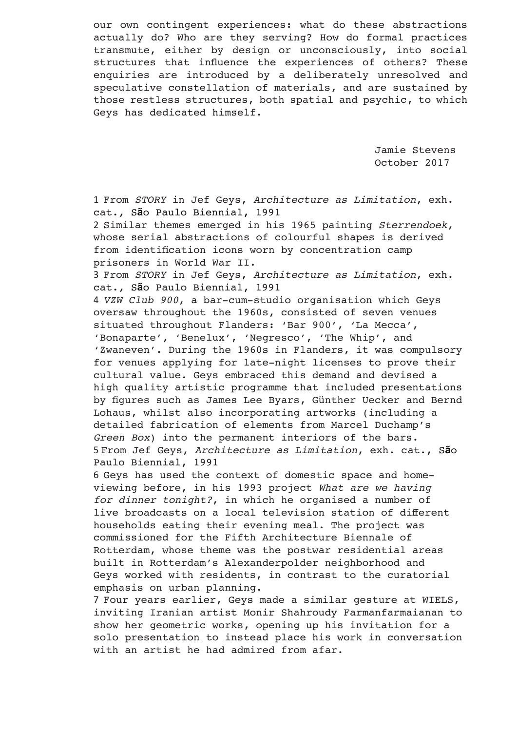our own contingent experiences: what do these abstractions actually do? Who are they serving? How do formal practices transmute, either by design or unconsciously, into social structures that influence the experiences of others? These enquiries are introduced by a deliberately unresolved and speculative constellation of materials, and are sustained by those restless structures, both spatial and psychic, to which Geys has dedicated himself.

> Jamie Stevens October 2017

1 From *STORY* in Jef Geys, *Architecture as Limitation*, exh. cat., S**ã**o Paulo Biennial, 1991

2 Similar themes emerged in his 1965 painting *Sterrendoek*, whose serial abstractions of colourful shapes is derived from identification icons worn by concentration camp prisoners in World War II.

3 From *STORY* in Jef Geys, *Architecture as Limitation*, exh. cat., S**ã**o Paulo Biennial, 1991

4 *VZW Club 900*, a bar-cum-studio organisation which Geys oversaw throughout the 1960s, consisted of seven venues situated throughout Flanders: 'Bar 900', 'La Mecca', 'Bonaparte', 'Benelux', 'Negresco', 'The Whip', and 'Zwaneven'. During the 1960s in Flanders, it was compulsory for venues applying for late-night licenses to prove their cultural value. Geys embraced this demand and devised a high quality artistic programme that included presentations by figures such as James Lee Byars, Günther Uecker and Bernd Lohaus, whilst also incorporating artworks (including a detailed fabrication of elements from Marcel Duchamp's *Green Box*) into the permanent interiors of the bars. 5 From Jef Geys, *Architecture as Limitation*, exh. cat., S**ã**o Paulo Biennial, 1991

6 Geys has used the context of domestic space and homeviewing before, in his 1993 project *What are we having for dinner tonight?*, in which he organised a number of live broadcasts on a local television station of different households eating their evening meal. The project was commissioned for the Fifth Architecture Biennale of Rotterdam, whose theme was the postwar residential areas built in Rotterdam's Alexanderpolder neighborhood and Geys worked with residents, in contrast to the curatorial emphasis on urban planning.

7 Four years earlier, Geys made a similar gesture at WIELS, inviting Iranian artist Monir Shahroudy Farmanfarmaianan to show her geometric works, opening up his invitation for a solo presentation to instead place his work in conversation with an artist he had admired from afar.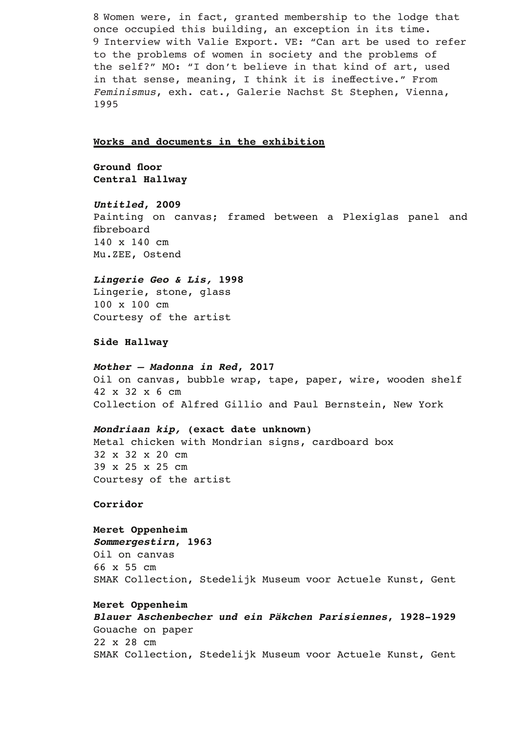8 Women were, in fact, granted membership to the lodge that once occupied this building, an exception in its time. 9 Interview with Valie Export. VE: "Can art be used to refer to the problems of women in society and the problems of the self?" MO: "I don't believe in that kind of art, used in that sense, meaning, I think it is ineffective." From *Feminismus*, exh. cat., Galerie Nachst St Stephen, Vienna, 1995

#### **Works and documents in the exhibition**

**Ground floor Central Hallway** 

# *Untitled***, 2009** Painting on canvas; framed between a Plexiglas panel and fibreboard 140 x 140 cm Mu.ZEE, Ostend

#### *Lingerie Geo & Lis,* **1998**

Lingerie, stone, glass 100 x 100 cm Courtesy of the artist

#### **Side Hallway**

#### *Mother – Madonna in Red***, 2017**

Oil on canvas, bubble wrap, tape, paper, wire, wooden shelf 42 x 32 x 6 cm Collection of Alfred Gillio and Paul Bernstein, New York

## *Mondriaan kip,* **(exact date unknown)**

Metal chicken with Mondrian signs, cardboard box 32 x 32 x 20 cm 39 x 25 x 25 cm Courtesy of the artist

**Corridor** 

### **Meret Oppenheim**

*Sommergestirn***, 1963** Oil on canvas 66 x 55 cm SMAK Collection, Stedelijk Museum voor Actuele Kunst, Gent

## **Meret Oppenheim**

*Blauer Aschenbecher und ein Päkchen Parisiennes***, 1928-1929** Gouache on paper 22 x 28 cm SMAK Collection, Stedelijk Museum voor Actuele Kunst, Gent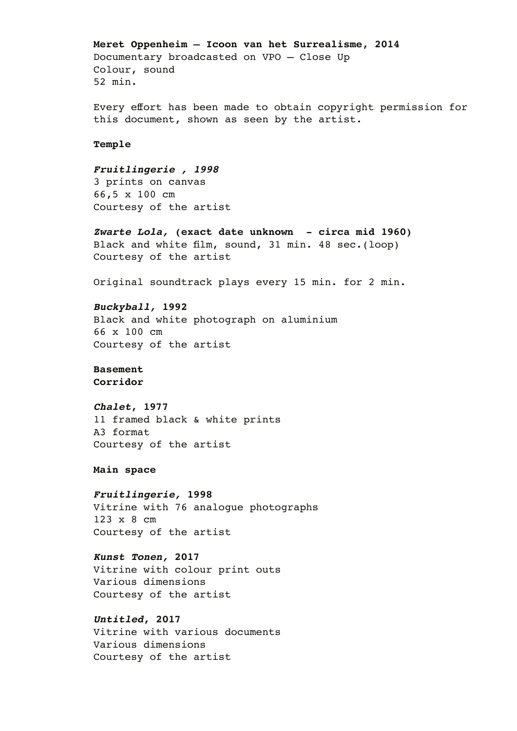#### **Meret Oppenheim – Icoon van het Surrealisme, 2014**

Documentary broadcasted on VPO – Close Up Colour, sound 52 min.

Every effort has been made to obtain copyright permission for this document, shown as seen by the artist.

### **Temple**

# *Fruitlingerie , 1998*

3 prints on canvas 66,5 x 100 cm Courtesy of the artist

*Zwarte Lola,* **(exact date unknown - circa mid 1960)** Black and white film, sound, 31 min. 48 sec.(loop) Courtesy of the artist

Original soundtrack plays every 15 min. for 2 min.

## *Buckyball,* **1992**

Black and white photograph on aluminium 66 x 100 cm Courtesy of the artist

# **Basement**

**Corridor** 

# *Chalet***, 1977**

11 framed black & white prints A3 format Courtesy of the artist

# **Main space**

#### *Fruitlingerie,* **1998**

Vitrine with 76 analogue photographs 123 x 8 cm Courtesy of the artist

# *Kunst Tonen,* **2017**

Vitrine with colour print outs Various dimensions Courtesy of the artist

# *Untitled***, 2017**

Vitrine with various documents Various dimensions Courtesy of the artist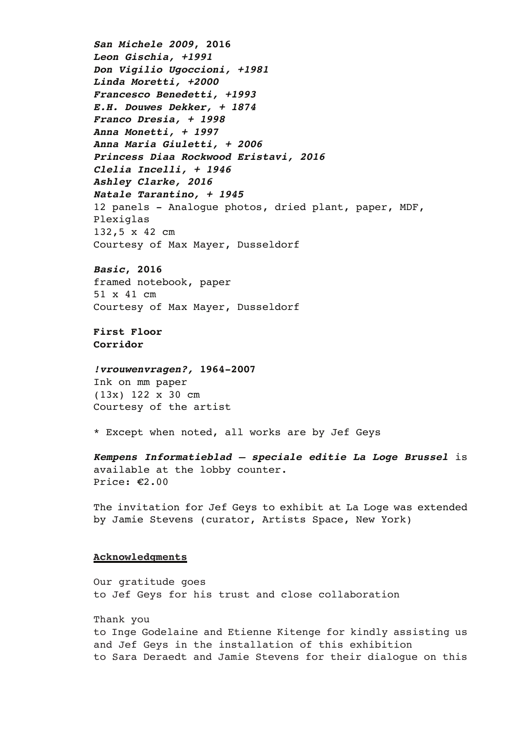*San Michele 2009***, 2016** *Leon Gischia, +1991 Don Vigilio Ugoccioni, +1981 Linda Moretti, +2000 Francesco Benedetti, +1993 E.H. Douwes Dekker, + 1874 Franco Dresia, + 1998 Anna Monetti, + 1997 Anna Maria Giuletti, + 2006 Princess Diaa Rockwood Eristavi, 2016 Clelia Incelli, + 1946 Ashley Clarke, 2016 Natale Tarantino, + 1945* 12 panels - Analogue photos, dried plant, paper, MDF, Plexiglas 132,5 x 42 cm Courtesy of Max Mayer, Dusseldorf

# *Basic***, 2016**

framed notebook, paper 51 x 41 cm Courtesy of Max Mayer, Dusseldorf

**First Floor Corridor** 

# *!vrouwenvragen?,* **1964-2007**

Ink on mm paper (13x) 122 x 30 cm Courtesy of the artist

\* Except when noted, all works are by Jef Geys

*Kempens Informatieblad – speciale editie La Loge Brussel* is available at the lobby counter. Price: €2.00

The invitation for Jef Geys to exhibit at La Loge was extended by Jamie Stevens (curator, Artists Space, New York)

# **Acknowledgments**

Our gratitude goes to Jef Geys for his trust and close collaboration

Thank you to Inge Godelaine and Etienne Kitenge for kindly assisting us and Jef Geys in the installation of this exhibition to Sara Deraedt and Jamie Stevens for their dialogue on this